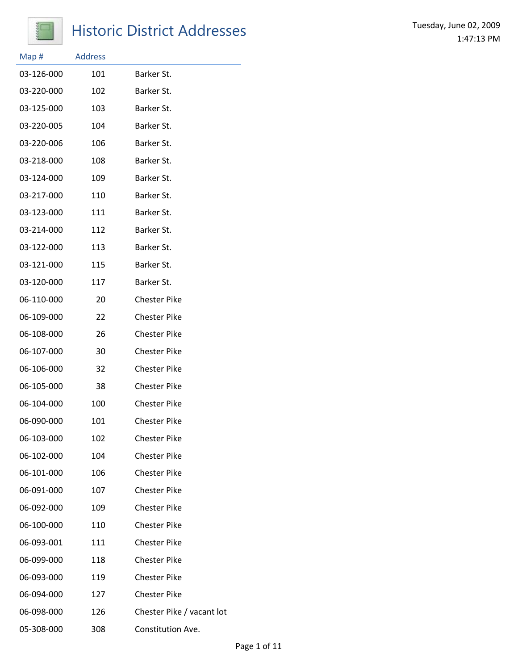

## Historic District Addresses<br>
Historic District Addresses<br>
1.47:13 PM

| Map#       | <b>Address</b> |                           |
|------------|----------------|---------------------------|
| 03-126-000 | 101            | Barker St.                |
| 03-220-000 | 102            | Barker St.                |
| 03-125-000 | 103            | Barker St.                |
| 03-220-005 | 104            | Barker St.                |
| 03-220-006 | 106            | Barker St.                |
| 03-218-000 | 108            | Barker St.                |
| 03-124-000 | 109            | Barker St.                |
| 03-217-000 | 110            | Barker St.                |
| 03-123-000 | 111            | Barker St.                |
| 03-214-000 | 112            | Barker St.                |
| 03-122-000 | 113            | Barker St.                |
| 03-121-000 | 115            | Barker St.                |
| 03-120-000 | 117            | Barker St.                |
| 06-110-000 | 20             | <b>Chester Pike</b>       |
| 06-109-000 | 22             | <b>Chester Pike</b>       |
| 06-108-000 | 26             | <b>Chester Pike</b>       |
| 06-107-000 | 30             | <b>Chester Pike</b>       |
| 06-106-000 | 32             | <b>Chester Pike</b>       |
| 06-105-000 | 38             | <b>Chester Pike</b>       |
| 06-104-000 | 100            | <b>Chester Pike</b>       |
| 06-090-000 | 101            | <b>Chester Pike</b>       |
| 06-103-000 | 102            | <b>Chester Pike</b>       |
| 06-102-000 | 104            | <b>Chester Pike</b>       |
| 06-101-000 | 106            | <b>Chester Pike</b>       |
| 06-091-000 | 107            | <b>Chester Pike</b>       |
| 06-092-000 | 109            | <b>Chester Pike</b>       |
| 06-100-000 | 110            | <b>Chester Pike</b>       |
| 06-093-001 | 111            | <b>Chester Pike</b>       |
| 06-099-000 | 118            | <b>Chester Pike</b>       |
| 06-093-000 | 119            | <b>Chester Pike</b>       |
| 06-094-000 | 127            | <b>Chester Pike</b>       |
| 06-098-000 | 126            | Chester Pike / vacant lot |
| 05-308-000 | 308            | Constitution Ave.         |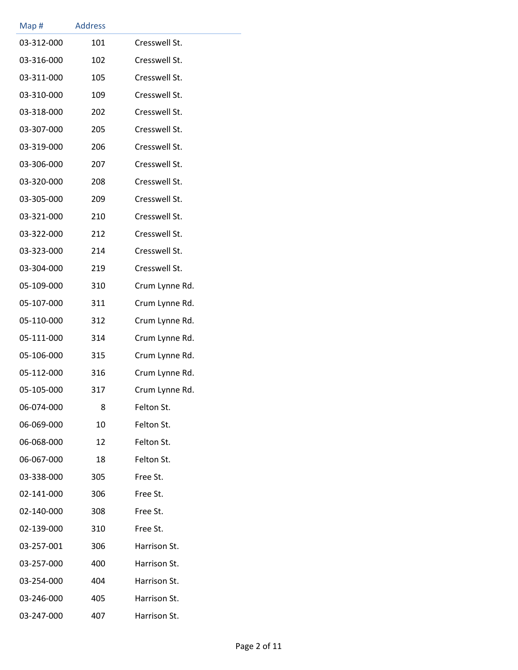| Map#       | <b>Address</b> |                |
|------------|----------------|----------------|
| 03-312-000 | 101            | Cresswell St.  |
| 03-316-000 | 102            | Cresswell St.  |
| 03-311-000 | 105            | Cresswell St.  |
| 03-310-000 | 109            | Cresswell St.  |
| 03-318-000 | 202            | Cresswell St.  |
| 03-307-000 | 205            | Cresswell St.  |
| 03-319-000 | 206            | Cresswell St.  |
| 03-306-000 | 207            | Cresswell St.  |
| 03-320-000 | 208            | Cresswell St.  |
| 03-305-000 | 209            | Cresswell St.  |
| 03-321-000 | 210            | Cresswell St.  |
| 03-322-000 | 212            | Cresswell St.  |
| 03-323-000 | 214            | Cresswell St.  |
| 03-304-000 | 219            | Cresswell St.  |
| 05-109-000 | 310            | Crum Lynne Rd. |
| 05-107-000 | 311            | Crum Lynne Rd. |
| 05-110-000 | 312            | Crum Lynne Rd. |
| 05-111-000 | 314            | Crum Lynne Rd. |
| 05-106-000 | 315            | Crum Lynne Rd. |
| 05-112-000 | 316            | Crum Lynne Rd. |
| 05-105-000 | 317            | Crum Lynne Rd. |
| 06-074-000 | 8              | Felton St.     |
| 06-069-000 | 10             | Felton St.     |
| 06-068-000 | 12             | Felton St.     |
| 06-067-000 | 18             | Felton St.     |
| 03-338-000 | 305            | Free St.       |
| 02-141-000 | 306            | Free St.       |
| 02-140-000 | 308            | Free St.       |
| 02-139-000 | 310            | Free St.       |
| 03-257-001 | 306            | Harrison St.   |
| 03-257-000 | 400            | Harrison St.   |
| 03-254-000 | 404            | Harrison St.   |
| 03-246-000 | 405            | Harrison St.   |
| 03-247-000 | 407            | Harrison St.   |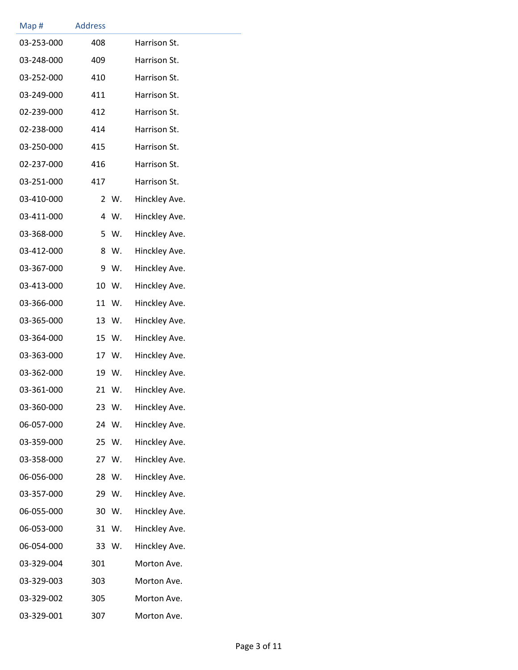| Map#       | <b>Address</b> |       |               |
|------------|----------------|-------|---------------|
| 03-253-000 | 408            |       | Harrison St.  |
| 03-248-000 | 409            |       | Harrison St.  |
| 03-252-000 | 410            |       | Harrison St.  |
| 03-249-000 | 411            |       | Harrison St.  |
| 02-239-000 | 412            |       | Harrison St.  |
| 02-238-000 | 414            |       | Harrison St.  |
| 03-250-000 | 415            |       | Harrison St.  |
| 02-237-000 | 416            |       | Harrison St.  |
| 03-251-000 | 417            |       | Harrison St.  |
| 03-410-000 |                | 2 W.  | Hinckley Ave. |
| 03-411-000 | 4              | W.    | Hinckley Ave. |
| 03-368-000 |                | 5 W.  | Hinckley Ave. |
| 03-412-000 | 8              | W.    | Hinckley Ave. |
| 03-367-000 | 9              | W.    | Hinckley Ave. |
| 03-413-000 |                | 10 W. | Hinckley Ave. |
| 03-366-000 |                | 11 W. | Hinckley Ave. |
| 03-365-000 |                | 13 W. | Hinckley Ave. |
| 03-364-000 |                | 15 W. | Hinckley Ave. |
| 03-363-000 |                | 17 W. | Hinckley Ave. |
| 03-362-000 |                | 19 W. | Hinckley Ave. |
| 03-361-000 |                | 21 W. | Hinckley Ave. |
| 03-360-000 | 23             | W.    | Hinckley Ave. |
| 06-057-000 |                | 24 W. | Hinckley Ave. |
| 03-359-000 |                | 25 W. | Hinckley Ave. |
| 03-358-000 |                | 27 W. | Hinckley Ave. |
| 06-056-000 |                | 28 W. | Hinckley Ave. |
| 03-357-000 |                | 29 W. | Hinckley Ave. |
| 06-055-000 |                | 30 W. | Hinckley Ave. |
| 06-053-000 |                | 31 W. | Hinckley Ave. |
| 06-054-000 |                | 33 W. | Hinckley Ave. |
| 03-329-004 | 301            |       | Morton Ave.   |
| 03-329-003 | 303            |       | Morton Ave.   |
| 03-329-002 | 305            |       | Morton Ave.   |
| 03-329-001 | 307            |       | Morton Ave.   |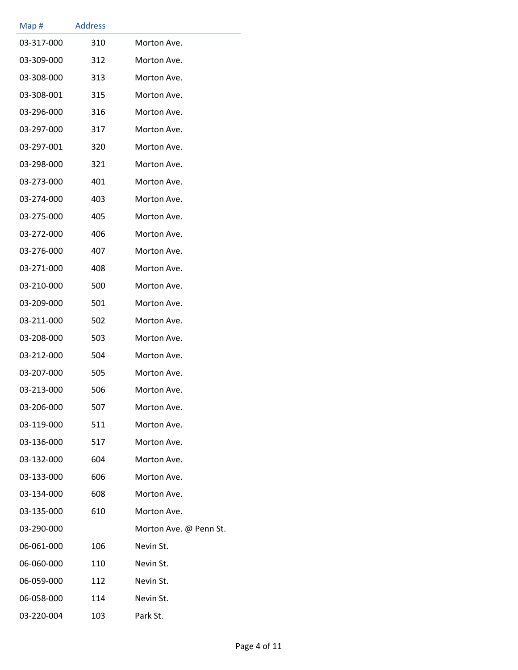| Map#       | <b>Address</b> |                        |
|------------|----------------|------------------------|
| 03-317-000 | 310            | Morton Ave.            |
| 03-309-000 | 312            | Morton Ave.            |
| 03-308-000 | 313            | Morton Ave.            |
| 03-308-001 | 315            | Morton Ave.            |
| 03-296-000 | 316            | Morton Ave.            |
| 03-297-000 | 317            | Morton Ave.            |
| 03-297-001 | 320            | Morton Ave.            |
| 03-298-000 | 321            | Morton Ave.            |
| 03-273-000 | 401            | Morton Ave.            |
| 03-274-000 | 403            | Morton Ave.            |
| 03-275-000 | 405            | Morton Ave.            |
| 03-272-000 | 406            | Morton Ave.            |
| 03-276-000 | 407            | Morton Ave.            |
| 03-271-000 | 408            | Morton Ave.            |
| 03-210-000 | 500            | Morton Ave.            |
| 03-209-000 | 501            | Morton Ave.            |
| 03-211-000 | 502            | Morton Ave.            |
| 03-208-000 | 503            | Morton Ave.            |
| 03-212-000 | 504            | Morton Ave.            |
| 03-207-000 | 505            | Morton Ave.            |
| 03-213-000 | 506            | Morton Ave.            |
| 03-206-000 | 507            | Morton Ave.            |
| 03-119-000 | 511            | Morton Ave.            |
| 03-136-000 | 517            | Morton Ave.            |
| 03-132-000 | 604            | Morton Ave.            |
| 03-133-000 | 606            | Morton Ave.            |
| 03-134-000 | 608            | Morton Ave.            |
| 03-135-000 | 610            | Morton Ave.            |
| 03-290-000 |                | Morton Ave. @ Penn St. |
| 06-061-000 | 106            | Nevin St.              |
| 06-060-000 | 110            | Nevin St.              |
| 06-059-000 | 112            | Nevin St.              |
| 06-058-000 | 114            | Nevin St.              |
| 03-220-004 | 103            | Park St.               |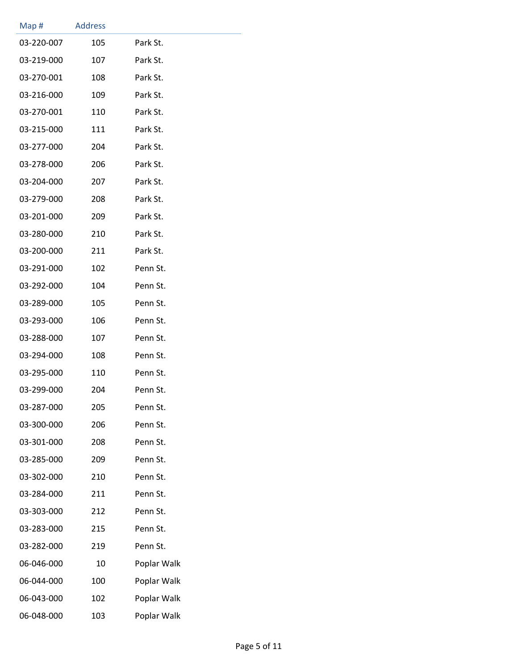| Map#       | <b>Address</b> |             |  |
|------------|----------------|-------------|--|
| 03-220-007 | 105            | Park St.    |  |
| 03-219-000 | 107            | Park St.    |  |
| 03-270-001 | 108            | Park St.    |  |
| 03-216-000 | 109            | Park St.    |  |
| 03-270-001 | 110            | Park St.    |  |
| 03-215-000 | 111            | Park St.    |  |
| 03-277-000 | 204            | Park St.    |  |
| 03-278-000 | 206            | Park St.    |  |
| 03-204-000 | 207            | Park St.    |  |
| 03-279-000 | 208            | Park St.    |  |
| 03-201-000 | 209            | Park St.    |  |
| 03-280-000 | 210            | Park St.    |  |
| 03-200-000 | 211            | Park St.    |  |
| 03-291-000 | 102            | Penn St.    |  |
| 03-292-000 | 104            | Penn St.    |  |
| 03-289-000 | 105            | Penn St.    |  |
| 03-293-000 | 106            | Penn St.    |  |
| 03-288-000 | 107            | Penn St.    |  |
| 03-294-000 | 108            | Penn St.    |  |
| 03-295-000 | 110            | Penn St.    |  |
| 03-299-000 | 204            | Penn St.    |  |
| 03-287-000 | 205            | Penn St.    |  |
| 03-300-000 | 206            | Penn St.    |  |
| 03-301-000 | 208            | Penn St.    |  |
| 03-285-000 | 209            | Penn St.    |  |
| 03-302-000 | 210            | Penn St.    |  |
| 03-284-000 | 211            | Penn St.    |  |
| 03-303-000 | 212            | Penn St.    |  |
| 03-283-000 | 215            | Penn St.    |  |
| 03-282-000 | 219            | Penn St.    |  |
| 06-046-000 | 10             | Poplar Walk |  |
| 06-044-000 | 100            | Poplar Walk |  |
| 06-043-000 | 102            | Poplar Walk |  |
| 06-048-000 | 103            | Poplar Walk |  |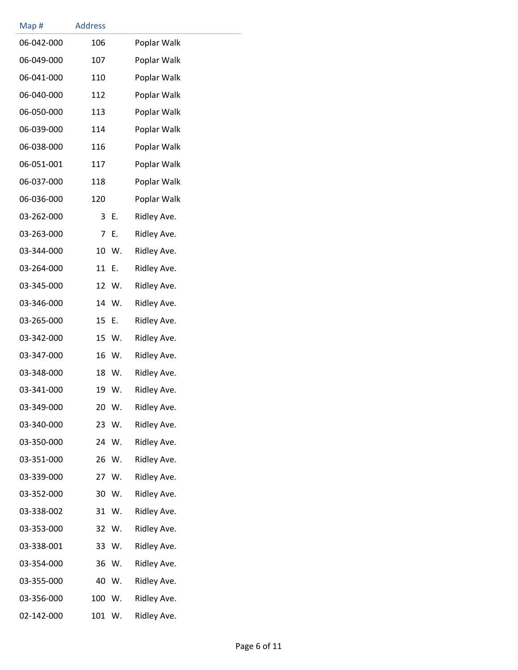| Map#       | <b>Address</b> |       |             |
|------------|----------------|-------|-------------|
| 06-042-000 | 106            |       | Poplar Walk |
| 06-049-000 | 107            |       | Poplar Walk |
| 06-041-000 | 110            |       | Poplar Walk |
| 06-040-000 | 112            |       | Poplar Walk |
| 06-050-000 | 113            |       | Poplar Walk |
| 06-039-000 | 114            |       | Poplar Walk |
| 06-038-000 | 116            |       | Poplar Walk |
| 06-051-001 | 117            |       | Poplar Walk |
| 06-037-000 | 118            |       | Poplar Walk |
| 06-036-000 | 120            |       | Poplar Walk |
| 03-262-000 | 3              | Ε.    | Ridley Ave. |
| 03-263-000 | 7              | Ε.    | Ridley Ave. |
| 03-344-000 | 10             | W.    | Ridley Ave. |
| 03-264-000 | 11             | Ε.    | Ridley Ave. |
| 03-345-000 | 12             | W.    | Ridley Ave. |
| 03-346-000 |                | 14 W. | Ridley Ave. |
| 03-265-000 | 15             | Ε.    | Ridley Ave. |
| 03-342-000 | 15             | W.    | Ridley Ave. |
| 03-347-000 | 16             | W.    | Ridley Ave. |
| 03-348-000 | 18             | W.    | Ridley Ave. |
| 03-341-000 | 19             | W.    | Ridley Ave. |
| 03-349-000 | 20             | W.    | Ridley Ave. |
| 03-340-000 | 23             | W.    | Ridley Ave. |
| 03-350-000 |                | 24 W. | Ridley Ave. |
| 03-351-000 | 26             | W.    | Ridley Ave. |
| 03-339-000 |                | 27 W. | Ridley Ave. |
| 03-352-000 | 30             | W.    | Ridley Ave. |
| 03-338-002 | 31             | W.    | Ridley Ave. |
| 03-353-000 | 32             | W.    | Ridley Ave. |
| 03-338-001 | 33             | W.    | Ridley Ave. |
| 03-354-000 | 36             | W.    | Ridley Ave. |
| 03-355-000 | 40             | W.    | Ridley Ave. |
| 03-356-000 | 100            | W.    | Ridley Ave. |
| 02-142-000 | 101            | W.    | Ridley Ave. |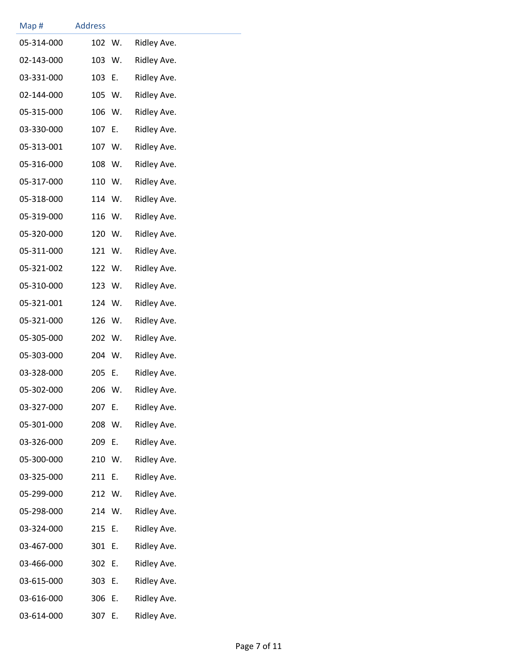| Map#       | <b>Address</b> |      |             |
|------------|----------------|------|-------------|
| 05-314-000 | 102            | W.   | Ridley Ave. |
| 02-143-000 | 103 W.         |      | Ridley Ave. |
| 03-331-000 | 103            | Е.   | Ridley Ave. |
| 02-144-000 | 105 W.         |      | Ridley Ave. |
| 05-315-000 | 106 W.         |      | Ridley Ave. |
| 03-330-000 | 107            | - E. | Ridley Ave. |
| 05-313-001 | 107 W.         |      | Ridley Ave. |
| 05-316-000 | 108            | W.   | Ridley Ave. |
| 05-317-000 | 110 W.         |      | Ridley Ave. |
| 05-318-000 | 114 W.         |      | Ridley Ave. |
| 05-319-000 | 116            | W.   | Ridley Ave. |
| 05-320-000 | 120 W.         |      | Ridley Ave. |
| 05-311-000 | 121 W.         |      | Ridley Ave. |
| 05-321-002 | 122 W.         |      | Ridley Ave. |
| 05-310-000 | 123 W.         |      | Ridley Ave. |
| 05-321-001 | 124 W.         |      | Ridley Ave. |
| 05-321-000 | 126            | W.   | Ridley Ave. |
| 05-305-000 | 202 W.         |      | Ridley Ave. |
| 05-303-000 | 204 W.         |      | Ridley Ave. |
| 03-328-000 | 205            | Е.   | Ridley Ave. |
| 05-302-000 | 206 W.         |      | Ridley Ave. |
| 03-327-000 | 207            | Е.   | Ridley Ave. |
| 05-301-000 | 208            | W.   | Ridley Ave. |
| 03-326-000 | 209            | E.   | Ridley Ave. |
| 05-300-000 | 210 W.         |      | Ridley Ave. |
| 03-325-000 | 211            | Ε.   | Ridley Ave. |
| 05-299-000 | 212 W.         |      | Ridley Ave. |
| 05-298-000 | 214 W.         |      | Ridley Ave. |
| 03-324-000 | 215            | Е.   | Ridley Ave. |
| 03-467-000 | 301            | Е.   | Ridley Ave. |
| 03-466-000 | 302            | Е.   | Ridley Ave. |
| 03-615-000 | 303            | Е.   | Ridley Ave. |
| 03-616-000 | 306            | Ε.   | Ridley Ave. |
| 03-614-000 | 307            | Ε.   | Ridley Ave. |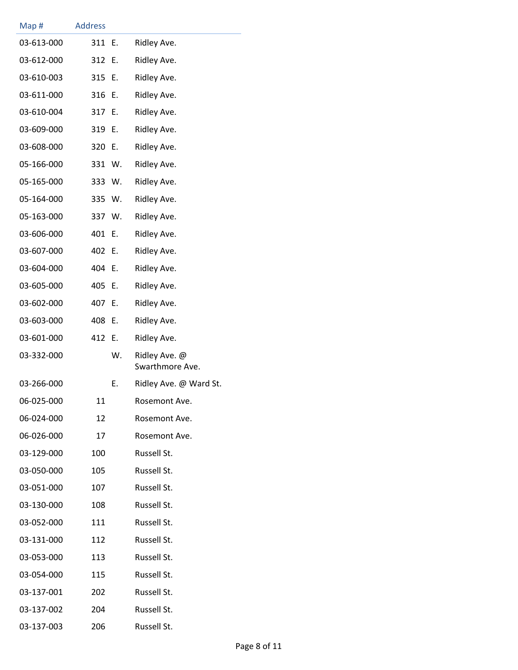| Map#       | <b>Address</b> |        |                                  |
|------------|----------------|--------|----------------------------------|
| 03-613-000 | 311 E.         |        | Ridley Ave.                      |
| 03-612-000 | 312 E.         |        | Ridley Ave.                      |
| 03-610-003 | 315 E.         |        | Ridley Ave.                      |
| 03-611-000 | 316 E.         |        | Ridley Ave.                      |
| 03-610-004 | 317 E.         |        | Ridley Ave.                      |
| 03-609-000 | 319 E.         |        | Ridley Ave.                      |
| 03-608-000 | 320 E.         |        | Ridley Ave.                      |
| 05-166-000 |                | 331 W. | Ridley Ave.                      |
| 05-165-000 | 333 W.         |        | Ridley Ave.                      |
| 05-164-000 | 335 W.         |        | Ridley Ave.                      |
| 05-163-000 | 337 W.         |        | Ridley Ave.                      |
| 03-606-000 | 401 E.         |        | Ridley Ave.                      |
| 03-607-000 | 402 E.         |        | Ridley Ave.                      |
| 03-604-000 | 404 E.         |        | Ridley Ave.                      |
| 03-605-000 | 405 E.         |        | Ridley Ave.                      |
| 03-602-000 | 407            | Е.     | Ridley Ave.                      |
| 03-603-000 | 408            | Ε.     | Ridley Ave.                      |
| 03-601-000 | 412 E.         |        | Ridley Ave.                      |
| 03-332-000 |                | W.     | Ridley Ave. @<br>Swarthmore Ave. |
| 03-266-000 |                | Ε.     | Ridley Ave. @ Ward St.           |
| 06-025-000 | 11             |        | Rosemont Ave.                    |
| 06-024-000 | 12             |        | Rosemont Ave.                    |
| 06-026-000 | 17             |        | Rosemont Ave.                    |
| 03-129-000 | 100            |        | Russell St.                      |
| 03-050-000 | 105            |        | Russell St.                      |
| 03-051-000 | 107            |        | Russell St.                      |
| 03-130-000 | 108            |        | Russell St.                      |
| 03-052-000 | 111            |        | Russell St.                      |
| 03-131-000 | 112            |        | Russell St.                      |
| 03-053-000 | 113            |        | Russell St.                      |
| 03-054-000 | 115            |        | Russell St.                      |
| 03-137-001 | 202            |        | Russell St.                      |
| 03-137-002 | 204            |        | Russell St.                      |
| 03-137-003 | 206            |        | Russell St.                      |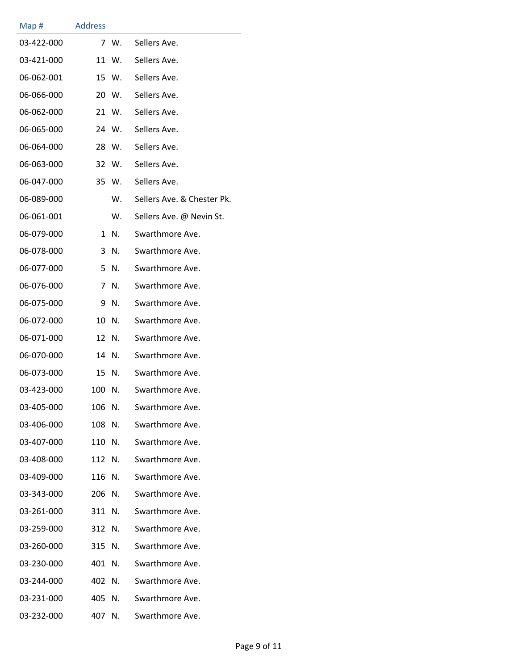| Map#       | <b>Address</b> |       |                            |
|------------|----------------|-------|----------------------------|
| 03-422-000 |                | 7 W.  | Sellers Ave.               |
| 03-421-000 | 11             | W.    | Sellers Ave.               |
| 06-062-001 |                | 15 W. | Sellers Ave.               |
| 06-066-000 |                | 20 W. | Sellers Ave.               |
| 06-062-000 |                | 21 W. | Sellers Ave.               |
| 06-065-000 |                | 24 W. | Sellers Ave.               |
| 06-064-000 | 28             | W.    | Sellers Ave.               |
| 06-063-000 |                | 32 W. | Sellers Ave.               |
| 06-047-000 |                | 35 W. | Sellers Ave.               |
| 06-089-000 |                | W.    | Sellers Ave. & Chester Pk. |
| 06-061-001 |                | W.    | Sellers Ave. @ Nevin St.   |
| 06-079-000 | 1              | N.    | Swarthmore Ave.            |
| 06-078-000 | 3              | N.    | Swarthmore Ave.            |
| 06-077-000 | 5              | N.    | Swarthmore Ave.            |
| 06-076-000 | 7              | N.    | Swarthmore Ave.            |
| 06-075-000 | 9              | N.    | Swarthmore Ave.            |
| 06-072-000 | 10             | N.    | Swarthmore Ave.            |
| 06-071-000 | 12             | N.    | Swarthmore Ave.            |
| 06-070-000 | 14             | N.    | Swarthmore Ave.            |
| 06-073-000 | 15             | N.    | Swarthmore Ave.            |
| 03-423-000 | 100            | N.    | Swarthmore Ave.            |
| 03-405-000 | 106            | N.    | Swarthmore Ave.            |
| 03-406-000 | 108            | N.    | Swarthmore Ave.            |
| 03-407-000 | 110            | N.    | Swarthmore Ave.            |
| 03-408-000 | 112            | N.    | Swarthmore Ave.            |
| 03-409-000 | 116            | N.    | Swarthmore Ave.            |
| 03-343-000 | 206            | N.    | Swarthmore Ave.            |
| 03-261-000 | 311            | N.    | Swarthmore Ave.            |
| 03-259-000 | 312            | N.    | Swarthmore Ave.            |
| 03-260-000 | 315            | N.    | Swarthmore Ave.            |
| 03-230-000 | 401            | N.    | Swarthmore Ave.            |
| 03-244-000 | 402            | N.    | Swarthmore Ave.            |
| 03-231-000 | 405            | N.    | Swarthmore Ave.            |
| 03-232-000 | 407            | N.    | Swarthmore Ave.            |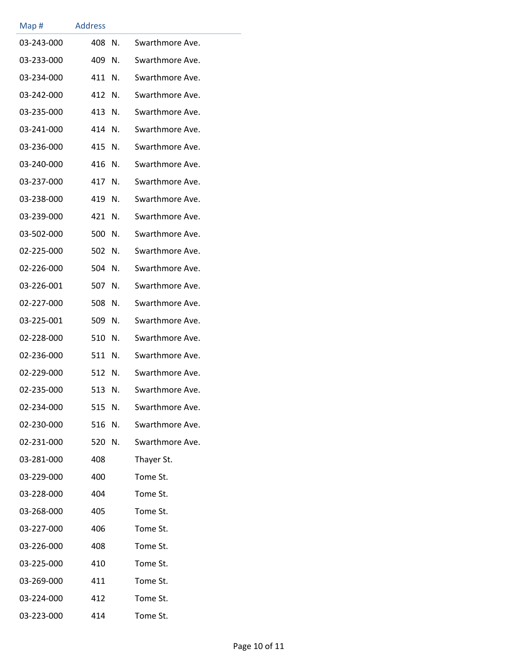| Map #      | <b>Address</b> |    |                 |
|------------|----------------|----|-----------------|
| 03-243-000 | 408            | N. | Swarthmore Ave. |
| 03-233-000 | 409            | N. | Swarthmore Ave. |
| 03-234-000 | 411            | N. | Swarthmore Ave. |
| 03-242-000 | 412            | N. | Swarthmore Ave. |
| 03-235-000 | 413            | N. | Swarthmore Ave. |
| 03-241-000 | 414            | N. | Swarthmore Ave. |
| 03-236-000 | 415            | N. | Swarthmore Ave. |
| 03-240-000 | 416            | N. | Swarthmore Ave. |
| 03-237-000 | 417            | N. | Swarthmore Ave. |
| 03-238-000 | 419            | N. | Swarthmore Ave. |
| 03-239-000 | 421            | N. | Swarthmore Ave. |
| 03-502-000 | 500            | N. | Swarthmore Ave. |
| 02-225-000 | 502            | N. | Swarthmore Ave. |
| 02-226-000 | 504            | N. | Swarthmore Ave. |
| 03-226-001 | 507            | N. | Swarthmore Ave. |
| 02-227-000 | 508            | N. | Swarthmore Ave. |
| 03-225-001 | 509            | N. | Swarthmore Ave. |
| 02-228-000 | 510            | N. | Swarthmore Ave. |
| 02-236-000 | 511            | N. | Swarthmore Ave. |
| 02-229-000 | 512            | N. | Swarthmore Ave. |
| 02-235-000 | 513            | N. | Swarthmore Ave. |
| 02-234-000 | 515 N.         |    | Swarthmore Ave. |
| 02-230-000 | 516 N.         |    | Swarthmore Ave. |
| 02-231-000 | 520 N.         |    | Swarthmore Ave. |
| 03-281-000 | 408            |    | Thayer St.      |
| 03-229-000 | 400            |    | Tome St.        |
| 03-228-000 | 404            |    | Tome St.        |
| 03-268-000 | 405            |    | Tome St.        |
| 03-227-000 | 406            |    | Tome St.        |
| 03-226-000 | 408            |    | Tome St.        |
| 03-225-000 | 410            |    | Tome St.        |
| 03-269-000 | 411            |    | Tome St.        |
| 03-224-000 | 412            |    | Tome St.        |
| 03-223-000 | 414            |    | Tome St.        |